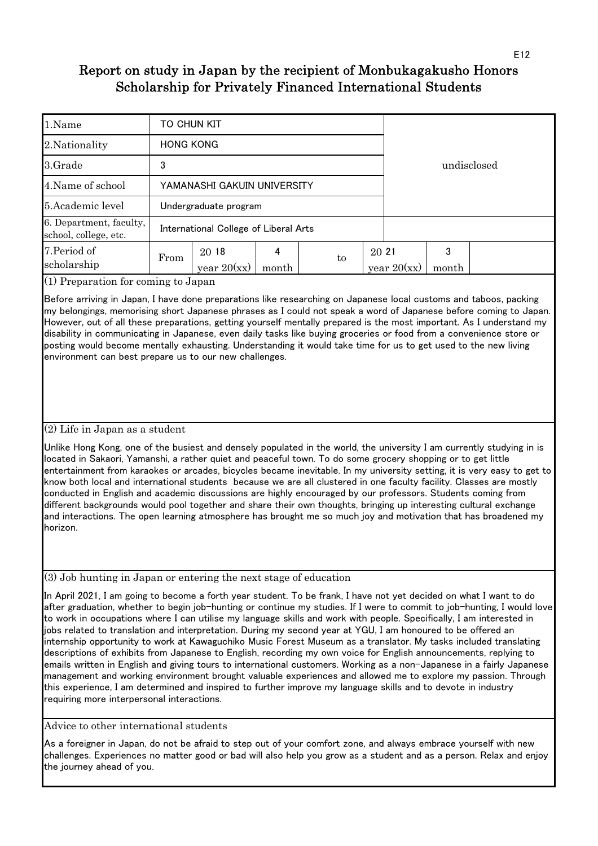| 1.Name                                           | TO CHUN KIT                 |                                       |       |  |    |       |               |             |  |  |  |  |
|--------------------------------------------------|-----------------------------|---------------------------------------|-------|--|----|-------|---------------|-------------|--|--|--|--|
| 2. Nationality                                   | <b>HONG KONG</b>            |                                       |       |  |    |       |               |             |  |  |  |  |
| 3.Grade                                          | 3                           |                                       |       |  |    |       |               | undisclosed |  |  |  |  |
| 4. Name of school                                | YAMANASHI GAKUIN UNIVERSITY |                                       |       |  |    |       |               |             |  |  |  |  |
| 5. Academic level                                | Undergraduate program       |                                       |       |  |    |       |               |             |  |  |  |  |
| 6. Department, faculty,<br>school, college, etc. |                             | International College of Liberal Arts |       |  |    |       |               |             |  |  |  |  |
| 7. Period of<br>scholarship                      | From                        | 20 18<br>year $20(xx)$                | month |  | to | 20 21 | year $20(xx)$ | 3<br>month  |  |  |  |  |

(1) Preparation for coming to Japan

Before arriving in Japan, I have done preparations like researching on Japanese local customs and taboos, packing my belongings, memorising short Japanese phrases as I could not speak a word of Japanese before coming to Japan. However, out of all these preparations, getting yourself mentally prepared is the most important. As I understand my disability in communicating in Japanese, even daily tasks like buying groceries or food from a convenience store or posting would become mentally exhausting. Understanding it would take time for us to get used to the new living environment can best prepare us to our new challenges.

### (2) Life in Japan as a student

Unlike Hong Kong, one of the busiest and densely populated in the world, the university I am currently studying in is located in Sakaori, Yamanshi, a rather quiet and peaceful town. To do some grocery shopping or to get little entertainment from karaokes or arcades, bicycles became inevitable. In my university setting, it is very easy to get to know both local and international students because we are all clustered in one faculty facility. Classes are mostly conducted in English and academic discussions are highly encouraged by our professors. Students coming from different backgrounds would pool together and share their own thoughts, bringing up interesting cultural exchange and interactions. The open learning atmosphere has brought me so much joy and motivation that has broadened my horizon.

(3) Job hunting in Japan or entering the next stage of education

In April 2021, I am going to become a forth year student. To be frank, I have not yet decided on what I want to do after graduation, whether to begin job-hunting or continue my studies. If I were to commit to job-hunting, I would love to work in occupations where I can utilise my language skills and work with people. Specifically, I am interested in jobs related to translation and interpretation. During my second year at YGU, I am honoured to be offered an internship opportunity to work at Kawaguchiko Music Forest Museum as a translator. My tasks included translating descriptions of exhibits from Japanese to English, recording my own voice for English announcements, replying to emails written in English and giving tours to international customers. Working as a non-Japanese in a fairly Japanese management and working environment brought valuable experiences and allowed me to explore my passion. Through this experience, I am determined and inspired to further improve my language skills and to devote in industry requiring more interpersonal interactions.

Advice to other international students

As a foreigner in Japan, do not be afraid to step out of your comfort zone, and always embrace yourself with new challenges. Experiences no matter good or bad will also help you grow as a student and as a person. Relax and enjoy the journey ahead of you.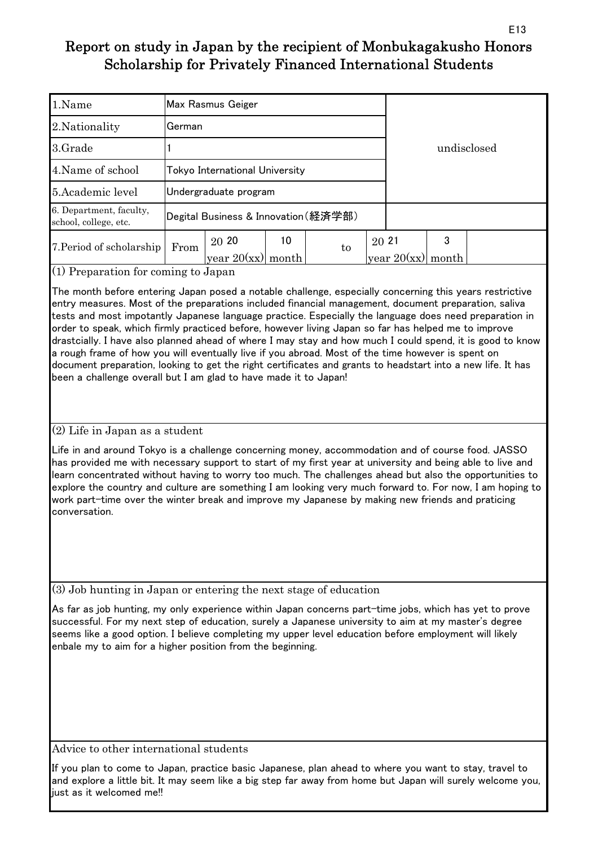| 1.Name                                           |        | Max Rasmus Geiger                    |       |    |       |               |       |  |
|--------------------------------------------------|--------|--------------------------------------|-------|----|-------|---------------|-------|--|
| 2. Nationality                                   | German |                                      |       |    |       |               |       |  |
| 3.Grade                                          |        |                                      |       |    |       | undisclosed   |       |  |
| 4. Name of school                                |        | Tokyo International University       |       |    |       |               |       |  |
| 5. Academic level                                |        | Undergraduate program                |       |    |       |               |       |  |
| 6. Department, faculty,<br>school, college, etc. |        | Degital Business & Innovation (経済学部) |       |    |       |               |       |  |
| 7. Period of scholarship                         | From   | 20 20                                | 10    | to | 20 21 |               | 3     |  |
|                                                  |        | year $20(xx)$                        | month |    |       | year $20(xx)$ | month |  |

(1) Preparation for coming to Japan

The month before entering Japan posed a notable challenge, especially concerning this years restrictive entry measures. Most of the preparations included financial management, document preparation, saliva tests and most impotantly Japanese language practice. Especially the language does need preparation in order to speak, which firmly practiced before, however living Japan so far has helped me to improve drastcially. I have also planned ahead of where I may stay and how much I could spend, it is good to know a rough frame of how you will eventually live if you abroad. Most of the time however is spent on document preparation, looking to get the right certificates and grants to headstart into a new life. It has been a challenge overall but I am glad to have made it to Japan!

(2) Life in Japan as a student

Life in and around Tokyo is a challenge concerning money, accommodation and of course food. JASSO has provided me with necessary support to start of my first year at university and being able to live and learn concentrated without having to worry too much. The challenges ahead but also the opportunities to explore the country and culture are something I am looking very much forward to. For now, I am hoping to work part-time over the winter break and improve my Japanese by making new friends and praticing conversation.

(3) Job hunting in Japan or entering the next stage of education

As far as job hunting, my only experience within Japan concerns part-time jobs, which has yet to prove successful. For my next step of education, surely a Japanese university to aim at my master's degree seems like a good option. I believe completing my upper level education before employment will likely enbale my to aim for a higher position from the beginning.

Advice to other international students

If you plan to come to Japan, practice basic Japanese, plan ahead to where you want to stay, travel to and explore a little bit. It may seem like a big step far away from home but Japan will surely welcome you, just as it welcomed me!!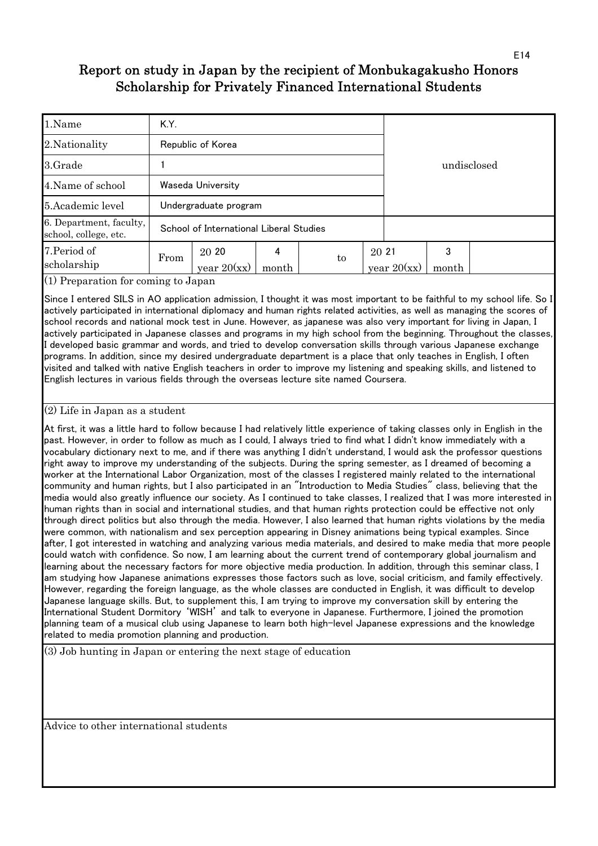| 1.Name                                           | K.Y. |                                         |            |             |       |               |       |  |
|--------------------------------------------------|------|-----------------------------------------|------------|-------------|-------|---------------|-------|--|
| 2. Nationality                                   |      | Republic of Korea                       |            | undisclosed |       |               |       |  |
| 3.Grade                                          |      |                                         |            |             |       |               |       |  |
| 4. Name of school                                |      | Waseda University                       |            |             |       |               |       |  |
| 5.Academic level                                 |      | Undergraduate program                   |            |             |       |               |       |  |
| 6. Department, faculty,<br>school, college, etc. |      | School of International Liberal Studies |            |             |       |               |       |  |
| 7. Period of<br>scholarship                      | From | 20 20<br>year $20(xx)$                  | 4<br>month | to          | 20 21 | year $20(xx)$ | month |  |

(1) Preparation for coming to Japan

Since I entered SILS in AO application admission, I thought it was most important to be faithful to my school life. So I actively participated in international diplomacy and human rights related activities, as well as managing the scores of school records and national mock test in June. However, as japanese was also very important for living in Japan, I actively participated in Japanese classes and programs in my high school from the beginning. Throughout the classes, I developed basic grammar and words, and tried to develop conversation skills through various Japanese exchange programs. In addition, since my desired undergraduate department is a place that only teaches in English, I often visited and talked with native English teachers in order to improve my listening and speaking skills, and listened to English lectures in various fields through the overseas lecture site named Coursera.

### (2) Life in Japan as a student

At first, it was a little hard to follow because I had relatively little experience of taking classes only in English in the past. However, in order to follow as much as I could, I always tried to find what I didn't know immediately with a vocabulary dictionary next to me, and if there was anything I didn't understand, I would ask the professor questions right away to improve my understanding of the subjects. During the spring semester, as I dreamed of becoming a worker at the International Labor Organization, most of the classes I registered mainly related to the international community and human rights, but I also participated in an "Introduction to Media Studies" class, believing that the media would also greatly influence our society. As I continued to take classes, I realized that I was more interested in human rights than in social and international studies, and that human rights protection could be effective not only through direct politics but also through the media. However, I also learned that human rights violations by the media were common, with nationalism and sex perception appearing in Disney animations being typical examples. Since after, I got interested in watching and analyzing various media materials, and desired to make media that more people could watch with confidence. So now, I am learning about the current trend of contemporary global journalism and learning about the necessary factors for more objective media production. In addition, through this seminar class, I am studying how Japanese animations expresses those factors such as love, social criticism, and family effectively. However, regarding the foreign language, as the whole classes are conducted in English, it was difficult to develop Japanese language skills. But, to supplement this, I am trying to improve my conversation skill by entering the International Student Dormitory 'WISH' and talk to everyone in Japanese. Furthermore, I joined the promotion planning team of a musical club using Japanese to learn both high-level Japanese expressions and the knowledge related to media promotion planning and production.

(3) Job hunting in Japan or entering the next stage of education

Advice to other international students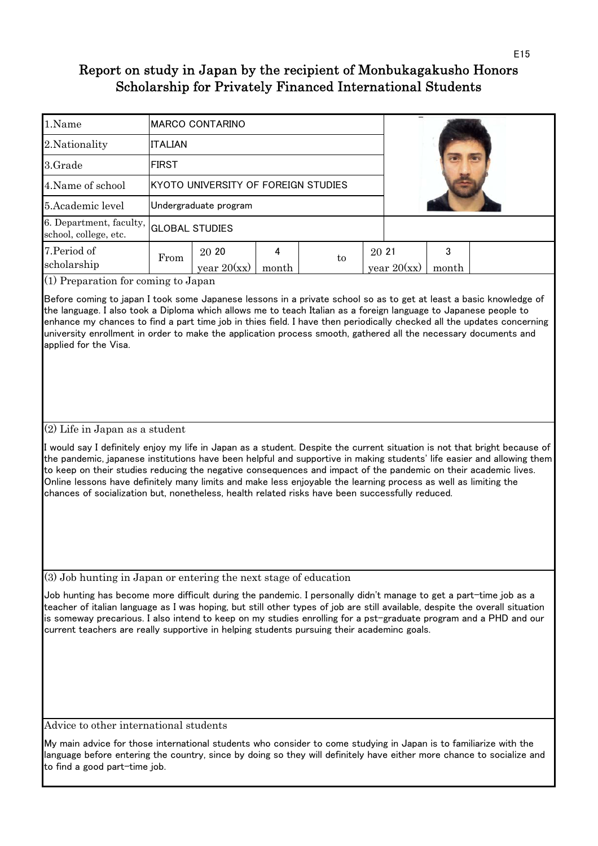| 1.Name                                           |                       | <b>MARCO CONTARINO</b>              |       |    |       |               |       |  |  |
|--------------------------------------------------|-----------------------|-------------------------------------|-------|----|-------|---------------|-------|--|--|
| 2. Nationality                                   | <b>ITALIAN</b>        |                                     |       |    |       |               |       |  |  |
| 3.Grade                                          | <b>FIRST</b>          |                                     |       |    |       |               |       |  |  |
| 4. Name of school                                |                       | KYOTO UNIVERSITY OF FOREIGN STUDIES |       |    |       |               |       |  |  |
| 5. Academic level                                |                       | Undergraduate program               |       |    |       |               |       |  |  |
| 6. Department, faculty,<br>school, college, etc. | <b>GLOBAL STUDIES</b> |                                     |       |    |       |               |       |  |  |
| 7. Period of                                     | From                  | 20 20                               |       | to | 20 21 |               | 3     |  |  |
| scholarship                                      |                       | year $20(xx)$                       | month |    |       | year $20(xx)$ | month |  |  |

(1) Preparation for coming to Japan

Before coming to japan I took some Japanese lessons in a private school so as to get at least a basic knowledge of the language. I also took a Diploma which allows me to teach Italian as a foreign language to Japanese people to enhance my chances to find a part time job in thies field. I have then periodically checked all the updates concerning university enrollment in order to make the application process smooth, gathered all the necessary documents and applied for the Visa.

### (2) Life in Japan as a student

I would say I definitely enjoy my life in Japan as a student. Despite the current situation is not that bright because of the pandemic, japanese institutions have been helpful and supportive in making students' life easier and allowing them to keep on their studies reducing the negative consequences and impact of the pandemic on their academic lives. Online lessons have definitely many limits and make less enjoyable the learning process as well as limiting the chances of socialization but, nonetheless, health related risks have been successfully reduced.

(3) Job hunting in Japan or entering the next stage of education

Job hunting has become more difficult during the pandemic. I personally didn't manage to get a part-time job as a teacher of italian language as I was hoping, but still other types of job are still available, despite the overall situation is someway precarious. I also intend to keep on my studies enrolling for a pst-graduate program and a PHD and our current teachers are really supportive in helping students pursuing their academinc goals.

Advice to other international students

My main advice for those international students who consider to come studying in Japan is to familiarize with the language before entering the country, since by doing so they will definitely have either more chance to socialize and to find a good part-time job.